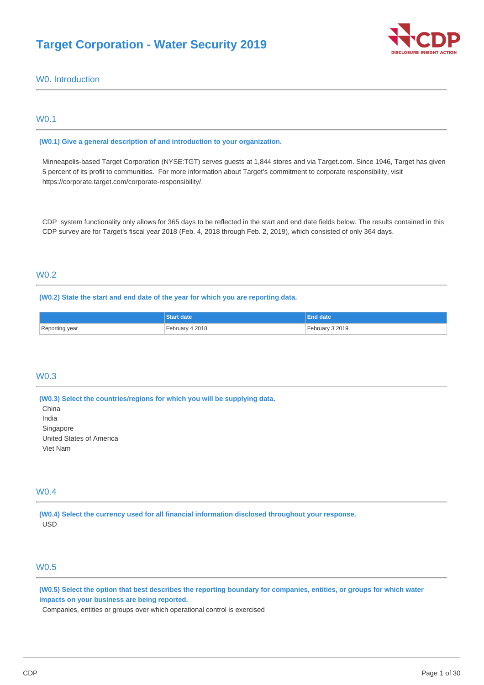# **Target Corporation - Water Security 2019**



# W0. Introduction

# W0.1

**(W0.1) Give a general description of and introduction to your organization.** 

Minneapolis-based Target Corporation (NYSE:TGT) serves guests at 1,844 stores and via [Target.com](http://Target.com). Since 1946, Target has given 5 percent of its profit to communities. For more information about Target's commitment to corporate responsibility, visit <https://corporate.target.com/corporate-responsibility/>.

CDP system functionality only allows for 365 days to be reflected in the start and end date fields below. The results contained in this CDP survey are for Target's fiscal year 2018 (Feb. 4, 2018 through Feb. 2, 2019), which consisted of only 364 days.

# W0.2

**(W0.2) State the start and end date of the year for which you are reporting data.** 

|                | <b>Start date</b> | <b>End date</b> |
|----------------|-------------------|-----------------|
| Reporting year | February 4 2018   | February 3 2019 |

### W0.3

**(W0.3) Select the countries/regions for which you will be supplying data.** 

China India Singapore United States of America Viet Nam

### W0.4

**(W0.4) Select the currency used for all financial information disclosed throughout your response.**  USD

# W0.5

**(W0.5) Select the option that best describes the reporting boundary for companies, entities, or groups for which water impacts on your business are being reported.** 

Companies, entities or groups over which operational control is exercised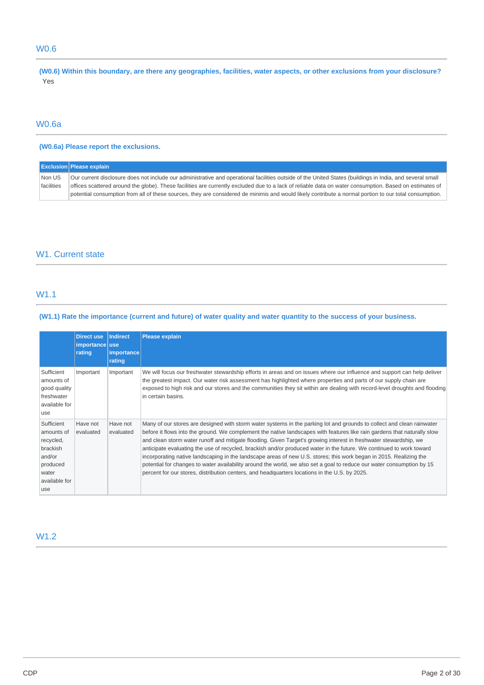# W0.6

**(W0.6) Within this boundary, are there any geographies, facilities, water aspects, or other exclusions from your disclosure?**  Yes

# W0.6a

## **(W0.6a) Please report the exclusions.**

|            | <b>Exclusion Please explain</b>                                                                                                                           |
|------------|-----------------------------------------------------------------------------------------------------------------------------------------------------------|
| Non US     | Our current disclosure does not include our administrative and operational facilities outside of the United States (buildings in India, and several small |
| facilities | offices scattered around the globe). These facilities are currently excluded due to a lack of reliable data on water consumption. Based on estimates of   |
|            | potential consumption from all of these sources, they are considered de minimis and would likely contribute a normal portion to our total consumption.    |

# W1. Current state

### W1.1

## **(W1.1) Rate the importance (current and future) of water quality and water quantity to the success of your business.**

|                                                                                                          | <b>Direct use</b><br>importance use<br>rating | Indirect<br>importance<br>rating | <b>Please explain</b>                                                                                                                                                                                                                                                                                                                                                                                                                                                                                                                                                                                                                                                                                                                                                                                                                            |
|----------------------------------------------------------------------------------------------------------|-----------------------------------------------|----------------------------------|--------------------------------------------------------------------------------------------------------------------------------------------------------------------------------------------------------------------------------------------------------------------------------------------------------------------------------------------------------------------------------------------------------------------------------------------------------------------------------------------------------------------------------------------------------------------------------------------------------------------------------------------------------------------------------------------------------------------------------------------------------------------------------------------------------------------------------------------------|
| Sufficient<br>amounts of<br>good quality<br>freshwater<br>available for<br>use                           | Important                                     | Important                        | We will focus our freshwater stewardship efforts in areas and on issues where our influence and support can help deliver<br>the greatest impact. Our water risk assessment has highlighted where properties and parts of our supply chain are<br>exposed to high risk and our stores and the communities they sit within are dealing with record-level droughts and flooding<br>in certain basins.                                                                                                                                                                                                                                                                                                                                                                                                                                               |
| Sufficient<br>amounts of<br>recycled,<br>brackish<br>and/or<br>produced<br>water<br>available for<br>use | Have not<br>evaluated                         | Have not<br>evaluated            | Many of our stores are designed with storm water systems in the parking lot and grounds to collect and clean rainwater<br>before it flows into the ground. We complement the native landscapes with features like rain gardens that naturally slow<br>and clean storm water runoff and mitigate flooding. Given Target's growing interest in freshwater stewardship, we<br>anticipate evaluating the use of recycled, brackish and/or produced water in the future. We continued to work toward<br>incorporating native landscaping in the landscape areas of new U.S. stores; this work began in 2015. Realizing the<br>potential for changes to water availability around the world, we also set a goal to reduce our water consumption by 15<br>percent for our stores, distribution centers, and headquarters locations in the U.S. by 2025. |

# W1.2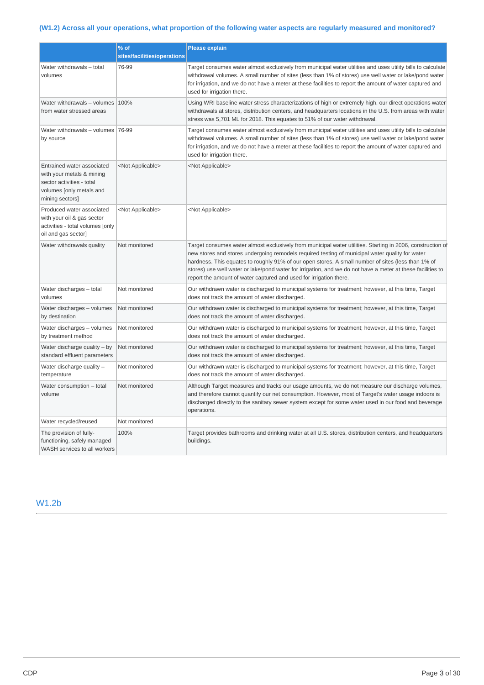# **(W1.2) Across all your operations, what proportion of the following water aspects are regularly measured and monitored?**

|                                                                                                                                     | % of<br>sites/facilities/operations | <b>Please explain</b>                                                                                                                                                                                                                                                                                                                                                                                                                                                                                    |
|-------------------------------------------------------------------------------------------------------------------------------------|-------------------------------------|----------------------------------------------------------------------------------------------------------------------------------------------------------------------------------------------------------------------------------------------------------------------------------------------------------------------------------------------------------------------------------------------------------------------------------------------------------------------------------------------------------|
| Water withdrawals - total<br>volumes                                                                                                | 76-99                               | Target consumes water almost exclusively from municipal water utilities and uses utility bills to calculate<br>withdrawal volumes. A small number of sites (less than 1% of stores) use well water or lake/pond water<br>for irrigation, and we do not have a meter at these facilities to report the amount of water captured and<br>used for irrigation there.                                                                                                                                         |
| Water withdrawals - volumes 100%<br>from water stressed areas                                                                       |                                     | Using WRI baseline water stress characterizations of high or extremely high, our direct operations water<br>withdrawals at stores, distribution centers, and headquarters locations in the U.S. from areas with water<br>stress was 5,701 ML for 2018. This equates to 51% of our water withdrawal.                                                                                                                                                                                                      |
| Water withdrawals - volumes 76-99<br>by source                                                                                      |                                     | Target consumes water almost exclusively from municipal water utilities and uses utility bills to calculate<br>withdrawal volumes. A small number of sites (less than 1% of stores) use well water or lake/pond water<br>for irrigation, and we do not have a meter at these facilities to report the amount of water captured and<br>used for irrigation there.                                                                                                                                         |
| Entrained water associated<br>with your metals & mining<br>sector activities - total<br>volumes [only metals and<br>mining sectors] | <not applicable=""></not>           | <not applicable=""></not>                                                                                                                                                                                                                                                                                                                                                                                                                                                                                |
| Produced water associated<br>with your oil & gas sector<br>activities - total volumes [only<br>oil and gas sector]                  | <not applicable=""></not>           | <not applicable=""></not>                                                                                                                                                                                                                                                                                                                                                                                                                                                                                |
| Water withdrawals quality                                                                                                           | Not monitored                       | Target consumes water almost exclusively from municipal water utilities. Starting in 2006, construction of<br>new stores and stores undergoing remodels required testing of municipal water quality for water<br>hardness. This equates to roughly 91% of our open stores. A small number of sites (less than 1% of<br>stores) use well water or lake/pond water for irrigation, and we do not have a meter at these facilities to<br>report the amount of water captured and used for irrigation there. |
| Water discharges - total<br>volumes                                                                                                 | Not monitored                       | Our withdrawn water is discharged to municipal systems for treatment; however, at this time, Target<br>does not track the amount of water discharged.                                                                                                                                                                                                                                                                                                                                                    |
| Water discharges - volumes<br>by destination                                                                                        | Not monitored                       | Our withdrawn water is discharged to municipal systems for treatment; however, at this time, Target<br>does not track the amount of water discharged.                                                                                                                                                                                                                                                                                                                                                    |
| Water discharges - volumes<br>by treatment method                                                                                   | Not monitored                       | Our withdrawn water is discharged to municipal systems for treatment; however, at this time, Target<br>does not track the amount of water discharged.                                                                                                                                                                                                                                                                                                                                                    |
| Water discharge quality - by<br>standard effluent parameters                                                                        | Not monitored                       | Our withdrawn water is discharged to municipal systems for treatment; however, at this time, Target<br>does not track the amount of water discharged.                                                                                                                                                                                                                                                                                                                                                    |
| Water discharge quality –<br>temperature                                                                                            | Not monitored                       | Our withdrawn water is discharged to municipal systems for treatment; however, at this time, Target<br>does not track the amount of water discharged.                                                                                                                                                                                                                                                                                                                                                    |
| Water consumption - total<br>volume                                                                                                 | Not monitored                       | Although Target measures and tracks our usage amounts, we do not measure our discharge volumes,<br>and therefore cannot quantify our net consumption. However, most of Target's water usage indoors is<br>discharged directly to the sanitary sewer system except for some water used in our food and beverage<br>operations.                                                                                                                                                                            |
| Water recycled/reused                                                                                                               | Not monitored                       |                                                                                                                                                                                                                                                                                                                                                                                                                                                                                                          |
| The provision of fully-<br>functioning, safely managed<br>WASH services to all workers                                              | 100%                                | Target provides bathrooms and drinking water at all U.S. stores, distribution centers, and headquarters<br>buildings.                                                                                                                                                                                                                                                                                                                                                                                    |

# W1.2b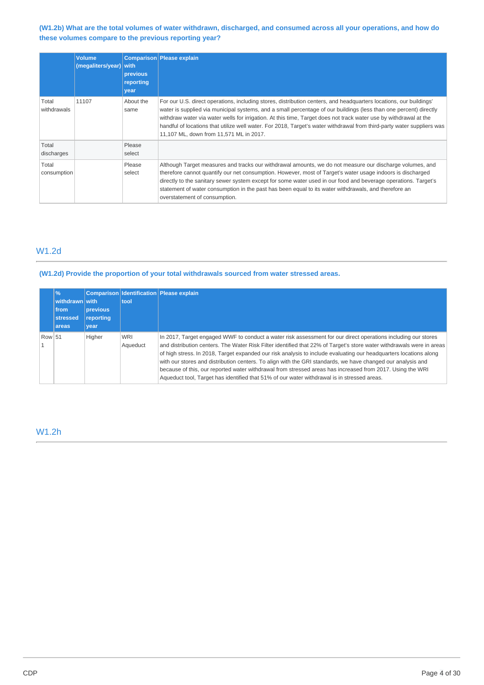### **(W1.2b) What are the total volumes of water withdrawn, discharged, and consumed across all your operations, and how do these volumes compare to the previous reporting year?**

|                      | <b>Volume</b><br>(megaliters/year) with | previous<br>reporting<br>year | <b>Comparison Please explain</b>                                                                                                                                                                                                                                                                                                                                                                                                                                                                                                  |
|----------------------|-----------------------------------------|-------------------------------|-----------------------------------------------------------------------------------------------------------------------------------------------------------------------------------------------------------------------------------------------------------------------------------------------------------------------------------------------------------------------------------------------------------------------------------------------------------------------------------------------------------------------------------|
| Total<br>withdrawals | 11107                                   | About the<br>same             | For our U.S. direct operations, including stores, distribution centers, and headquarters locations, our buildings'<br>water is supplied via municipal systems, and a small percentage of our buildings (less than one percent) directly<br>withdraw water via water wells for irrigation. At this time, Target does not track water use by withdrawal at the<br>handful of locations that utilize well water. For 2018, Target's water withdrawal from third-party water suppliers was<br>11,107 ML, down from 11,571 ML in 2017. |
| Total<br>discharges  |                                         | Please<br>select              |                                                                                                                                                                                                                                                                                                                                                                                                                                                                                                                                   |
| Total<br>consumption |                                         | Please<br>select              | Although Target measures and tracks our withdrawal amounts, we do not measure our discharge volumes, and<br>therefore cannot quantify our net consumption. However, most of Target's water usage indoors is discharged<br>directly to the sanitary sewer system except for some water used in our food and beverage operations. Target's<br>statement of water consumption in the past has been equal to its water withdrawals, and therefore an<br>overstatement of consumption.                                                 |

# W1.2d

### **(W1.2d) Provide the proportion of your total withdrawals sourced from water stressed areas.**

|        | $\sqrt{26}$<br>withdrawn with<br>from<br>stressed<br><b>areas</b> | <b>previous</b><br>reporting<br>vear | tool                   | <b>Comparison Identification Please explain</b>                                                                                                                                                                                                                                                                                                                                                                                                                                                                                                                                                                                                                                        |
|--------|-------------------------------------------------------------------|--------------------------------------|------------------------|----------------------------------------------------------------------------------------------------------------------------------------------------------------------------------------------------------------------------------------------------------------------------------------------------------------------------------------------------------------------------------------------------------------------------------------------------------------------------------------------------------------------------------------------------------------------------------------------------------------------------------------------------------------------------------------|
| Row 51 |                                                                   | Higher                               | <b>WRI</b><br>Aqueduct | In 2017, Target engaged WWF to conduct a water risk assessment for our direct operations including our stores<br>and distribution centers. The Water Risk Filter identified that 22% of Target's store water withdrawals were in areas<br>of high stress. In 2018, Target expanded our risk analysis to include evaluating our headquarters locations along<br>with our stores and distribution centers. To align with the GRI standards, we have changed our analysis and<br>because of this, our reported water withdrawal from stressed areas has increased from 2017. Using the WRI<br>Aqueduct tool, Target has identified that 51% of our water withdrawal is in stressed areas. |

# W1.2h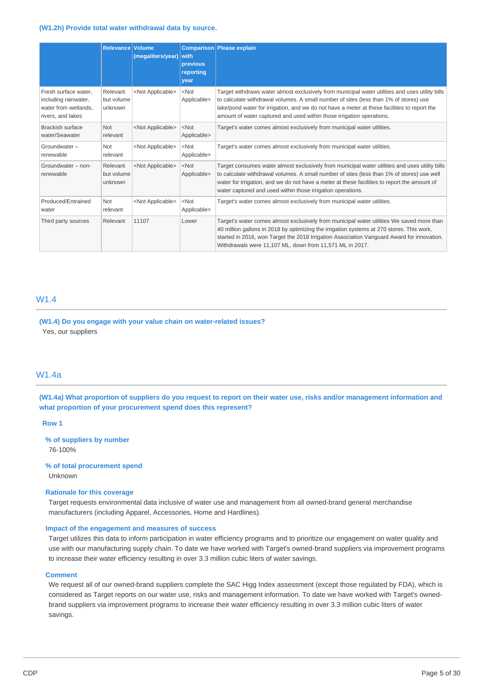#### **(W1.2h) Provide total water withdrawal data by source.**

|                                                                                           | <b>Relevance Volume</b>           | (megaliters/year)         | with<br>previous<br>reporting<br>vear | <b>Comparison Please explain</b>                                                                                                                                                                                                                                                                                                                                  |
|-------------------------------------------------------------------------------------------|-----------------------------------|---------------------------|---------------------------------------|-------------------------------------------------------------------------------------------------------------------------------------------------------------------------------------------------------------------------------------------------------------------------------------------------------------------------------------------------------------------|
| Fresh surface water,<br>including rainwater,<br>water from wetlands.<br>rivers, and lakes | Relevant<br>but volume<br>unknown | <not applicable=""></not> | $<$ Not<br>Applicable>                | Target withdraws water almost exclusively from municipal water utilities and uses utility bills<br>to calculate withdrawal volumes. A small number of sites (less than 1% of stores) use<br>lake/pond water for irrigation, and we do not have a meter at these facilities to report the<br>amount of water captured and used within those irrigation operations. |
| Brackish surface<br>water/Seawater                                                        | <b>Not</b><br>relevant            | <not applicable=""></not> | $<$ Not<br>Applicable>                | Target's water comes almost exclusively from municipal water utilities.                                                                                                                                                                                                                                                                                           |
| Groundwater-<br>renewable                                                                 | Not<br>relevant                   | <not applicable=""></not> | $<$ Not<br>Applicable>                | Target's water comes almost exclusively from municipal water utilities.                                                                                                                                                                                                                                                                                           |
| Groundwater - non-<br>renewable                                                           | Relevant<br>but volume<br>unknown | <not applicable=""></not> | $<$ Not<br>Applicable>                | Target consumes water almost exclusively from municipal water utilities and uses utility bills<br>to calculate withdrawal volumes. A small number of sites (less than 1% of stores) use well<br>water for irrigation, and we do not have a meter at these facilities to report the amount of<br>water captured and used within those irrigation operations.       |
| Produced/Entrained<br>water                                                               | Not<br>relevant                   | <not applicable=""></not> | $<$ Not<br>Applicable>                | Target's water comes almost exclusively from municipal water utilities.                                                                                                                                                                                                                                                                                           |
| Third party sources                                                                       | Relevant                          | 11107                     | Lower                                 | Target's water comes almost exclusively from municipal water utilities We saved more than<br>40 million gallons in 2018 by optimizing the irrigation systems at 270 stores. This work,<br>started in 2016, won Target the 2018 Irrigation Association Vanguard Award for innovation.<br>Withdrawals were 11,107 ML, down from 11,571 ML in 2017.                  |

### W1.4

**(W1.4) Do you engage with your value chain on water-related issues?**  Yes, our suppliers

#### W1.4a

**(W1.4a) What proportion of suppliers do you request to report on their water use, risks and/or management information and what proportion of your procurement spend does this represent?** 

**Row 1** 

**% of suppliers by number**  76-100%

**% of total procurement spend**  Unknown

#### **Rationale for this coverage**

Target requests environmental data inclusive of water use and management from all owned-brand general merchandise manufacturers (including Apparel, Accessories, Home and Hardlines).

#### **Impact of the engagement and measures of success**

Target utilizes this data to inform participation in water efficiency programs and to prioritize our engagement on water quality and use with our manufacturing supply chain. To date we have worked with Target's owned-brand suppliers via improvement programs to increase their water efficiency resulting in over 3.3 million cubic liters of water savings.

### **Comment**

We request all of our owned-brand suppliers complete the SAC Higg Index assessment (except those regulated by FDA), which is considered as Target reports on our water use, risks and management information. To date we have worked with Target's ownedbrand suppliers via improvement programs to increase their water efficiency resulting in over 3.3 million cubic liters of water savings.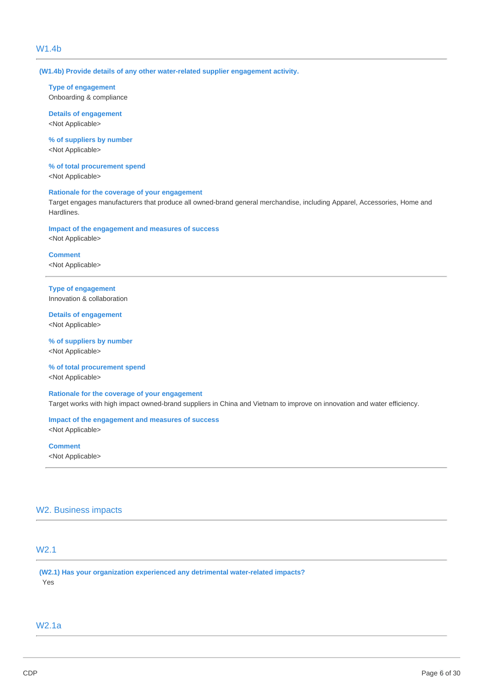# W1.4b

**(W1.4b) Provide details of any other water-related supplier engagement activity.** 

# **Type of engagement**

Onboarding & compliance

**Details of engagement**  <Not Applicable>

**% of suppliers by number**  <Not Applicable>

**% of total procurement spend** 

<Not Applicable>

## **Rationale for the coverage of your engagement**

Target engages manufacturers that produce all owned-brand general merchandise, including Apparel, Accessories, Home and Hardlines.

### **Impact of the engagement and measures of success**  <Not Applicable>

**Comment**  <Not Applicable>

**Type of engagement**  Innovation & collaboration

**Details of engagement**  <Not Applicable>

**% of suppliers by number**  <Not Applicable>

**% of total procurement spend**  <Not Applicable>

**Rationale for the coverage of your engagement**  Target works with high impact owned-brand suppliers in China and Vietnam to improve on innovation and water efficiency.

**Impact of the engagement and measures of success** 

<Not Applicable>

**Comment**  <Not Applicable>

### W2. Business impacts

# W2.1

**(W2.1) Has your organization experienced any detrimental water-related impacts?**  Yes

### W2.1a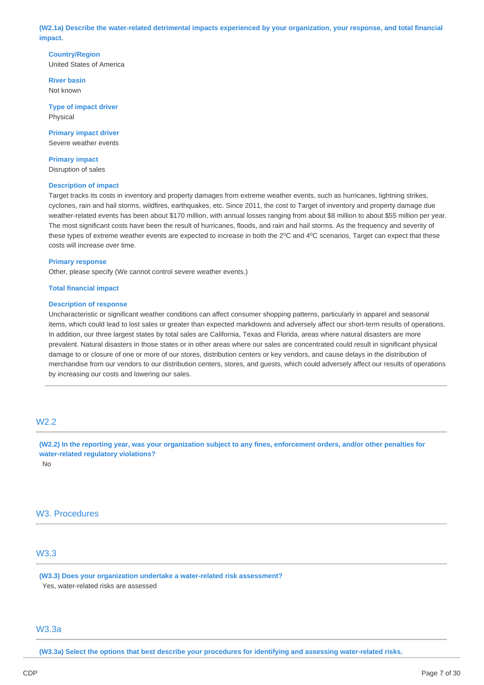**(W2.1a) Describe the water-related detrimental impacts experienced by your organization, your response, and total financial impact.** 

**Country/Region**  United States of America

**River basin**  Not known

**Type of impact driver**  Physical

**Primary impact driver**  Severe weather events

**Primary impact**  Disruption of sales

### **Description of impact**

Target tracks its costs in inventory and property damages from extreme weather events, such as hurricanes, lightning strikes, cyclones, rain and hail storms, wildfires, earthquakes, etc. Since 2011, the cost to Target of inventory and property damage due weather-related events has been about \$170 million, with annual losses ranging from about \$8 million to about \$55 million per year. The most significant costs have been the result of hurricanes, floods, and rain and hail storms. As the frequency and severity of these types of extreme weather events are expected to increase in both the 2<sup>o</sup>C and 4<sup>o</sup>C scenarios, Target can expect that these costs will increase over time.

#### **Primary response**

Other, please specify (We cannot control severe weather events.)

#### **Total financial impact**

#### **Description of response**

Uncharacteristic or significant weather conditions can affect consumer shopping patterns, particularly in apparel and seasonal items, which could lead to lost sales or greater than expected markdowns and adversely affect our short-term results of operations. In addition, our three largest states by total sales are California, Texas and Florida, areas where natural disasters are more prevalent. Natural disasters in those states or in other areas where our sales are concentrated could result in significant physical damage to or closure of one or more of our stores, distribution centers or key vendors, and cause delays in the distribution of merchandise from our vendors to our distribution centers, stores, and guests, which could adversely affect our results of operations by increasing our costs and lowering our sales.

### W2.2

**(W2.2) In the reporting year, was your organization subject to any fines, enforcement orders, and/or other penalties for water-related regulatory violations?** 

No

# W3. Procedures

# W3.3

**(W3.3) Does your organization undertake a water-related risk assessment?**  Yes, water-related risks are assessed

# W3.3a

**(W3.3a) Select the options that best describe your procedures for identifying and assessing water-related risks.**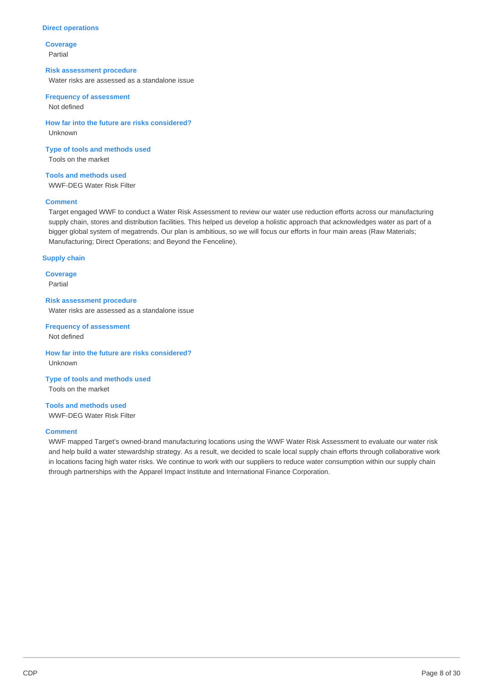#### **Direct operations**

**Coverage**  Partial

### **Risk assessment procedure**

Water risks are assessed as a standalone issue

## **Frequency of assessment**

Not defined

**How far into the future are risks considered?**  Unknown

**Type of tools and methods used**  Tools on the market

**Tools and methods used**  WWF-DEG Water Risk Filter

### **Comment**

Target engaged WWF to conduct a Water Risk Assessment to review our water use reduction efforts across our manufacturing supply chain, stores and distribution facilities. This helped us develop a holistic approach that acknowledges water as part of a bigger global system of megatrends. Our plan is ambitious, so we will focus our efforts in four main areas (Raw Materials; Manufacturing; Direct Operations; and Beyond the Fenceline).

### **Supply chain**

**Coverage**  Partial

**Risk assessment procedure**  Water risks are assessed as a standalone issue

**Frequency of assessment**  Not defined

**How far into the future are risks considered?**  Unknown

**Type of tools and methods used**  Tools on the market

**Tools and methods used**  WWF-DEG Water Risk Filter

#### **Comment**

WWF mapped Target's owned-brand manufacturing locations using the WWF Water Risk Assessment to evaluate our water risk and help build a water stewardship strategy. As a result, we decided to scale local supply chain efforts through collaborative work in locations facing high water risks. We continue to work with our suppliers to reduce water consumption within our supply chain through partnerships with the Apparel Impact Institute and International Finance Corporation.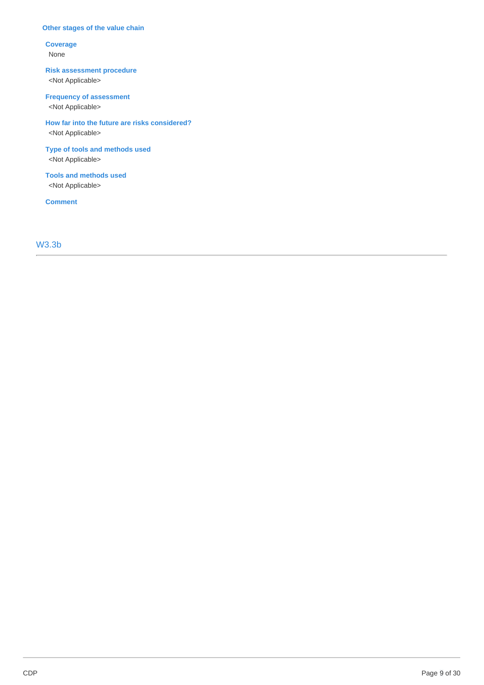### **Other stages of the value chain**

### **Coverage**  None

# **Risk assessment procedure**

<Not Applicable>

# **Frequency of assessment**

<Not Applicable>

### **How far into the future are risks considered?**  <Not Applicable>

## **Type of tools and methods used**  <Not Applicable>

**Tools and methods used**  <Not Applicable>

**Comment**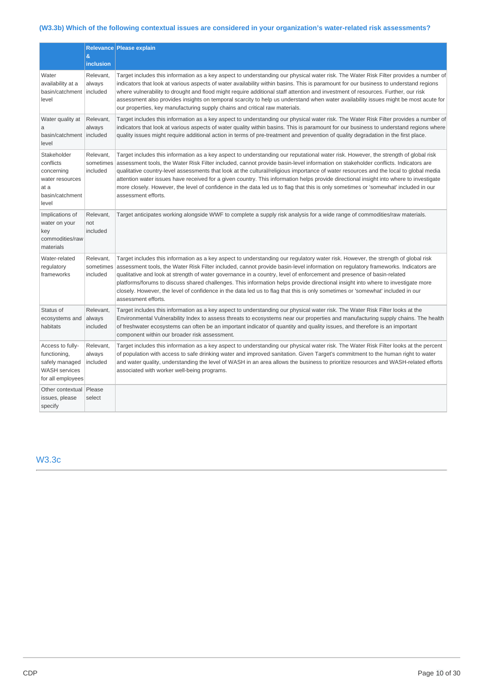# **(W3.3b) Which of the following contextual issues are considered in your organization's water-related risk assessments?**

|                                                                                                 |                                    | Relevance Please explain                                                                                                                                                                                                                                                                                                                                                                                                                                                                                                                                                                                                                                                                                                  |
|-------------------------------------------------------------------------------------------------|------------------------------------|---------------------------------------------------------------------------------------------------------------------------------------------------------------------------------------------------------------------------------------------------------------------------------------------------------------------------------------------------------------------------------------------------------------------------------------------------------------------------------------------------------------------------------------------------------------------------------------------------------------------------------------------------------------------------------------------------------------------------|
|                                                                                                 | &<br>inclusion                     |                                                                                                                                                                                                                                                                                                                                                                                                                                                                                                                                                                                                                                                                                                                           |
| Water<br>availability at a<br>basin/catchment<br>level                                          | Relevant,<br>always<br>included    | Target includes this information as a key aspect to understanding our physical water risk. The Water Risk Filter provides a number of<br>indicators that look at various aspects of water availability within basins. This is paramount for our business to understand regions<br>where vulnerability to drought and flood might require additional staff attention and investment of resources. Further, our risk<br>assessment also provides insights on temporal scarcity to help us understand when water availability issues might be most acute for<br>our properties, key manufacturing supply chains and critical raw materials.                                                                                  |
| Water quality at<br>a<br>basin/catchment   included<br>level                                    | Relevant,<br>always                | Target includes this information as a key aspect to understanding our physical water risk. The Water Risk Filter provides a number of<br>indicators that look at various aspects of water quality within basins. This is paramount for our business to understand regions where<br>quality issues might require additional action in terms of pre-treatment and prevention of quality degradation in the first place.                                                                                                                                                                                                                                                                                                     |
| Stakeholder<br>conflicts<br>concerning<br>water resources<br>at a<br>basin/catchment<br>level   | Relevant,<br>sometimes<br>included | Target includes this information as a key aspect to understanding our reputational water risk. However, the strength of global risk<br>assessment tools, the Water Risk Filter included, cannot provide basin-level information on stakeholder conflicts. Indicators are<br>qualitative country-level assessments that look at the cultural/religious importance of water resources and the local to global media<br>attention water issues have received for a given country. This information helps provide directional insight into where to investigate<br>more closely. However, the level of confidence in the data led us to flag that this is only sometimes or 'somewhat' included in our<br>assessment efforts. |
| Implications of<br>water on your<br>key<br>commodities/raw<br>materials                         | Relevant,<br>not<br>included       | Target anticipates working alongside WWF to complete a supply risk analysis for a wide range of commodities/raw materials.                                                                                                                                                                                                                                                                                                                                                                                                                                                                                                                                                                                                |
| Water-related<br>regulatory<br>frameworks                                                       | Relevant,<br>sometimes<br>included | Target includes this information as a key aspect to understanding our regulatory water risk. However, the strength of global risk<br>assessment tools, the Water Risk Filter included, cannot provide basin-level information on regulatory frameworks. Indicators are<br>qualitative and look at strength of water governance in a country, level of enforcement and presence of basin-related<br>platforms/forums to discuss shared challenges. This information helps provide directional insight into where to investigate more<br>closely. However, the level of confidence in the data led us to flag that this is only sometimes or 'somewhat' included in our<br>assessment efforts.                              |
| Status of<br>ecosystems and<br>habitats                                                         | Relevant,<br>always<br>included    | Target includes this information as a key aspect to understanding our physical water risk. The Water Risk Filter looks at the<br>Environmental Vulnerability Index to assess threats to ecosystems near our properties and manufacturing supply chains. The health<br>of freshwater ecosystems can often be an important indicator of quantity and quality issues, and therefore is an important<br>component within our broader risk assessment.                                                                                                                                                                                                                                                                         |
| Access to fully-<br>functioning,<br>safely managed<br><b>WASH</b> services<br>for all employees | Relevant,<br>always<br>included    | Target includes this information as a key aspect to understanding our physical water risk. The Water Risk Filter looks at the percent<br>of population with access to safe drinking water and improved sanitation. Given Target's commitment to the human right to water<br>and water quality, understanding the level of WASH in an area allows the business to prioritize resources and WASH-related efforts<br>associated with worker well-being programs.                                                                                                                                                                                                                                                             |
| Other contextual Please<br>issues, please<br>specify                                            | select                             |                                                                                                                                                                                                                                                                                                                                                                                                                                                                                                                                                                                                                                                                                                                           |

# W3.3c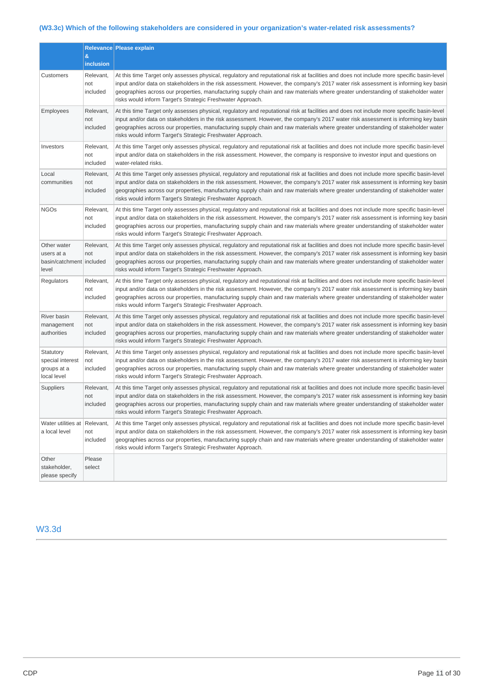# **(W3.3c) Which of the following stakeholders are considered in your organization's water-related risk assessments?**

|                                                                  | &                            | Relevance Please explain                                                                                                                                                                                                                                                                                                                                                                                                                                                          |  |
|------------------------------------------------------------------|------------------------------|-----------------------------------------------------------------------------------------------------------------------------------------------------------------------------------------------------------------------------------------------------------------------------------------------------------------------------------------------------------------------------------------------------------------------------------------------------------------------------------|--|
|                                                                  | inclusion                    |                                                                                                                                                                                                                                                                                                                                                                                                                                                                                   |  |
| Customers                                                        | Relevant,<br>not<br>included | At this time Target only assesses physical, regulatory and reputational risk at facilities and does not include more specific basin-level<br>input and/or data on stakeholders in the risk assessment. However, the company's 2017 water risk assessment is informing key basin<br>geographies across our properties, manufacturing supply chain and raw materials where greater understanding of stakeholder water<br>risks would inform Target's Strategic Freshwater Approach. |  |
| Employees                                                        | Relevant,<br>not<br>included | At this time Target only assesses physical, regulatory and reputational risk at facilities and does not include more specific basin-level<br>input and/or data on stakeholders in the risk assessment. However, the company's 2017 water risk assessment is informing key basin<br>geographies across our properties, manufacturing supply chain and raw materials where greater understanding of stakeholder water<br>risks would inform Target's Strategic Freshwater Approach. |  |
| Investors                                                        | Relevant,<br>not<br>included | At this time Target only assesses physical, regulatory and reputational risk at facilities and does not include more specific basin-level<br>input and/or data on stakeholders in the risk assessment. However, the company is responsive to investor input and questions on<br>water-related risks.                                                                                                                                                                              |  |
| Local<br>communities                                             | Relevant,<br>not<br>included | At this time Target only assesses physical, regulatory and reputational risk at facilities and does not include more specific basin-level<br>input and/or data on stakeholders in the risk assessment. However, the company's 2017 water risk assessment is informing key basin<br>geographies across our properties, manufacturing supply chain and raw materials where greater understanding of stakeholder water<br>risks would inform Target's Strategic Freshwater Approach. |  |
| <b>NGOs</b>                                                      | Relevant,<br>not<br>included | At this time Target only assesses physical, regulatory and reputational risk at facilities and does not include more specific basin-level<br>input and/or data on stakeholders in the risk assessment. However, the company's 2017 water risk assessment is informing key basin<br>geographies across our properties, manufacturing supply chain and raw materials where greater understanding of stakeholder water<br>risks would inform Target's Strategic Freshwater Approach. |  |
| Other water<br>users at a<br>basin/catchment   included<br>level | Relevant,<br>not             | At this time Target only assesses physical, regulatory and reputational risk at facilities and does not include more specific basin-level<br>input and/or data on stakeholders in the risk assessment. However, the company's 2017 water risk assessment is informing key basin<br>geographies across our properties, manufacturing supply chain and raw materials where greater understanding of stakeholder water<br>risks would inform Target's Strategic Freshwater Approach. |  |
| Regulators                                                       | Relevant,<br>not<br>included | At this time Target only assesses physical, regulatory and reputational risk at facilities and does not include more specific basin-level<br>input and/or data on stakeholders in the risk assessment. However, the company's 2017 water risk assessment is informing key basin<br>geographies across our properties, manufacturing supply chain and raw materials where greater understanding of stakeholder water<br>risks would inform Target's Strategic Freshwater Approach. |  |
| River basin<br>management<br>authorities                         | Relevant,<br>not<br>included | At this time Target only assesses physical, regulatory and reputational risk at facilities and does not include more specific basin-level<br>input and/or data on stakeholders in the risk assessment. However, the company's 2017 water risk assessment is informing key basin<br>geographies across our properties, manufacturing supply chain and raw materials where greater understanding of stakeholder water<br>risks would inform Target's Strategic Freshwater Approach. |  |
| Statutory<br>special interest<br>groups at a<br>local level      | Relevant,<br>not<br>included | At this time Target only assesses physical, regulatory and reputational risk at facilities and does not include more specific basin-level<br>input and/or data on stakeholders in the risk assessment. However, the company's 2017 water risk assessment is informing key basin<br>geographies across our properties, manufacturing supply chain and raw materials where greater understanding of stakeholder water<br>risks would inform Target's Strategic Freshwater Approach. |  |
| Suppliers                                                        | Relevant,<br>not<br>included | At this time Target only assesses physical, regulatory and reputational risk at facilities and does not include more specific basin-level<br>input and/or data on stakeholders in the risk assessment. However, the company's 2017 water risk assessment is informing key basin<br>geographies across our properties, manufacturing supply chain and raw materials where greater understanding of stakeholder water<br>risks would inform Target's Strategic Freshwater Approach. |  |
| Water utilities at Relevant,<br>a local level                    | not<br>included              | At this time Target only assesses physical, regulatory and reputational risk at facilities and does not include more specific basin-level<br>input and/or data on stakeholders in the risk assessment. However, the company's 2017 water risk assessment is informing key basin<br>geographies across our properties, manufacturing supply chain and raw materials where greater understanding of stakeholder water<br>risks would inform Target's Strategic Freshwater Approach. |  |
| Other<br>stakeholder,<br>please specify                          | Please<br>select             |                                                                                                                                                                                                                                                                                                                                                                                                                                                                                   |  |

W3.3d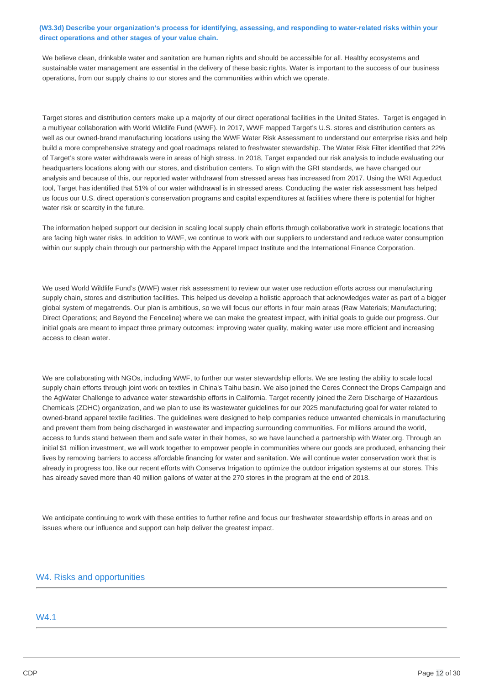### **(W3.3d) Describe your organization's process for identifying, assessing, and responding to water-related risks within your direct operations and other stages of your value chain.**

We believe clean, drinkable water and sanitation are human rights and should be accessible for all. Healthy ecosystems and sustainable water management are essential in the delivery of these basic rights. Water is important to the success of our business operations, from our supply chains to our stores and the communities within which we operate.

Target stores and distribution centers make up a majority of our direct operational facilities in the United States. Target is engaged in a multiyear collaboration with World Wildlife Fund (WWF). In 2017, WWF mapped Target's U.S. stores and distribution centers as well as our owned-brand manufacturing locations using the WWF Water Risk Assessment to understand our enterprise risks and help build a more comprehensive strategy and goal roadmaps related to freshwater stewardship. The Water Risk Filter identified that 22% of Target's store water withdrawals were in areas of high stress. In 2018, Target expanded our risk analysis to include evaluating our headquarters locations along with our stores, and distribution centers. To align with the GRI standards, we have changed our analysis and because of this, our reported water withdrawal from stressed areas has increased from 2017. Using the WRI Aqueduct tool, Target has identified that 51% of our water withdrawal is in stressed areas. Conducting the water risk assessment has helped us focus our U.S. direct operation's conservation programs and capital expenditures at facilities where there is potential for higher water risk or scarcity in the future.

The information helped support our decision in scaling local supply chain efforts through collaborative work in strategic locations that are facing high water risks. In addition to WWF, we continue to work with our suppliers to understand and reduce water consumption within our supply chain through our partnership with the Apparel Impact Institute and the International Finance Corporation.

We used World Wildlife Fund's (WWF) water risk assessment to review our water use reduction efforts across our manufacturing supply chain, stores and distribution facilities. This helped us develop a holistic approach that acknowledges water as part of a bigger global system of megatrends. Our plan is ambitious, so we will focus our efforts in four main areas (Raw Materials; Manufacturing; Direct Operations; and Beyond the Fenceline) where we can make the greatest impact, with initial goals to guide our progress. Our initial goals are meant to impact three primary outcomes: improving water quality, making water use more efficient and increasing access to clean water.

We are collaborating with NGOs, including WWF, to further our water stewardship efforts. We are testing the ability to scale local supply chain efforts through joint work on textiles in China's Taihu basin. We also joined the Ceres Connect the Drops Campaign and the AgWater Challenge to advance water stewardship efforts in California. Target recently joined the Zero Discharge of Hazardous Chemicals (ZDHC) organization, and we plan to use its wastewater guidelines for our 2025 manufacturing goal for water related to owned-brand apparel textile facilities. The guidelines were designed to help companies reduce unwanted chemicals in manufacturing and prevent them from being discharged in wastewater and impacting surrounding communities. For millions around the world, access to funds stand between them and safe water in their homes, so we have launched a partnership with [Water.org](http://Water.org). Through an initial \$1 million investment, we will work together to empower people in communities where our goods are produced, enhancing their lives by removing barriers to access affordable financing for water and sanitation. We will continue water conservation work that is already in progress too, like our recent efforts with Conserva Irrigation to optimize the outdoor irrigation systems at our stores. This has already saved more than 40 million gallons of water at the 270 stores in the program at the end of 2018.

We anticipate continuing to work with these entities to further refine and focus our freshwater stewardship efforts in areas and on issues where our influence and support can help deliver the greatest impact.

### W4. Risks and opportunities

### W4.1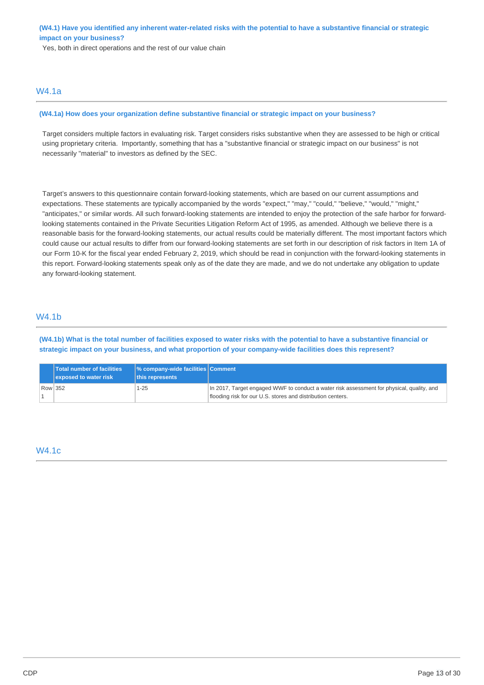**(W4.1) Have you identified any inherent water-related risks with the potential to have a substantive financial or strategic impact on your business?** 

Yes, both in direct operations and the rest of our value chain

### W4.1a

#### **(W4.1a) How does your organization define substantive financial or strategic impact on your business?**

Target considers multiple factors in evaluating risk. Target considers risks substantive when they are assessed to be high or critical using proprietary criteria. Importantly, something that has a "substantive financial or strategic impact on our business" is not necessarily "material" to investors as defined by the SEC.

Target's answers to this questionnaire contain forward-looking statements, which are based on our current assumptions and expectations. These statements are typically accompanied by the words "expect," "may," "could," "believe," "would," "might," "anticipates," or similar words. All such forward-looking statements are intended to enjoy the protection of the safe harbor for forwardlooking statements contained in the Private Securities Litigation Reform Act of 1995, as amended. Although we believe there is a reasonable basis for the forward-looking statements, our actual results could be materially different. The most important factors which could cause our actual results to differ from our forward-looking statements are set forth in our description of risk factors in Item 1A of our Form 10-K for the fiscal year ended February 2, 2019, which should be read in conjunction with the forward-looking statements in this report. Forward-looking statements speak only as of the date they are made, and we do not undertake any obligation to update any forward-looking statement.

### W4.1b

**(W4.1b) What is the total number of facilities exposed to water risks with the potential to have a substantive financial or strategic impact on your business, and what proportion of your company-wide facilities does this represent?** 

| <b>Total number of facilities</b><br>exposed to water risk | │% company-wide facilities Comment<br>this represents |                                                                                                                                                          |
|------------------------------------------------------------|-------------------------------------------------------|----------------------------------------------------------------------------------------------------------------------------------------------------------|
| Row 352                                                    | 1-25                                                  | In 2017, Target engaged WWF to conduct a water risk assessment for physical, quality, and<br>flooding risk for our U.S. stores and distribution centers. |

# W4.1c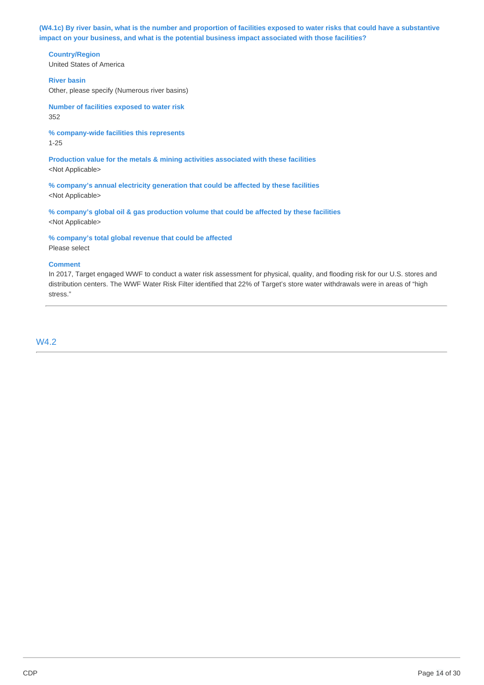**(W4.1c) By river basin, what is the number and proportion of facilities exposed to water risks that could have a substantive impact on your business, and what is the potential business impact associated with those facilities?** 

**Country/Region** 

United States of America

**River basin** 

Other, please specify (Numerous river basins)

**Number of facilities exposed to water risk**  352

**% company-wide facilities this represents**  1-25

**Production value for the metals & mining activities associated with these facilities**  <Not Applicable>

**% company's annual electricity generation that could be affected by these facilities**  <Not Applicable>

**% company's global oil & gas production volume that could be affected by these facilities**  <Not Applicable>

**% company's total global revenue that could be affected** 

Please select

## **Comment**

In 2017, Target engaged WWF to conduct a water risk assessment for physical, quality, and flooding risk for our U.S. stores and distribution centers. The WWF Water Risk Filter identified that 22% of Target's store water withdrawals were in areas of "high stress."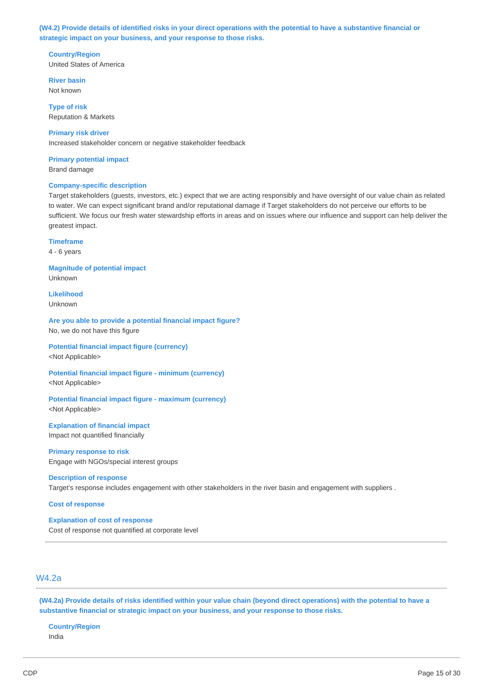**(W4.2) Provide details of identified risks in your direct operations with the potential to have a substantive financial or strategic impact on your business, and your response to those risks.** 

**Country/Region**  United States of America

**River basin**  Not known

**Type of risk**  Reputation & Markets

**Primary risk driver**  Increased stakeholder concern or negative stakeholder feedback

**Primary potential impact** 

Brand damage

### **Company-specific description**

Target stakeholders (guests, investors, etc.) expect that we are acting responsibly and have oversight of our value chain as related to water. We can expect significant brand and/or reputational damage if Target stakeholders do not perceive our efforts to be sufficient. We focus our fresh water stewardship efforts in areas and on issues where our influence and support can help deliver the greatest impact.

**Timeframe** 

4 - 6 years

**Magnitude of potential impact**  Unknown

**Likelihood**  Unknown

**Are you able to provide a potential financial impact figure?**  No, we do not have this figure

**Potential financial impact figure (currency)**  <Not Applicable>

**Potential financial impact figure - minimum (currency)**  <Not Applicable>

**Potential financial impact figure - maximum (currency)**  <Not Applicable>

**Explanation of financial impact**  Impact not quantified financially

**Primary response to risk**  Engage with NGOs/special interest groups

#### **Description of response**

Target's response includes engagement with other stakeholders in the river basin and engagement with suppliers .

**Cost of response** 

**Explanation of cost of response**  Cost of response not quantified at corporate level

# W4.2a

**(W4.2a) Provide details of risks identified within your value chain (beyond direct operations) with the potential to have a substantive financial or strategic impact on your business, and your response to those risks.** 

**Country/Region**  India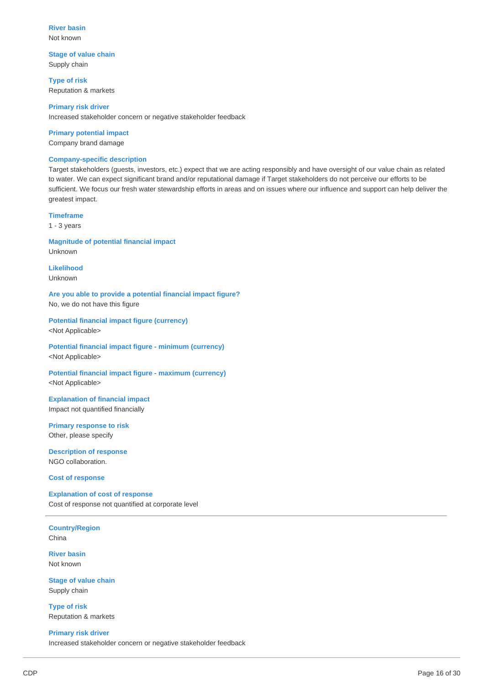**River basin**  Not known

**Stage of value chain**  Supply chain

**Type of risk**  Reputation & markets

**Primary risk driver**  Increased stakeholder concern or negative stakeholder feedback

### **Primary potential impact**

Company brand damage

#### **Company-specific description**

Target stakeholders (guests, investors, etc.) expect that we are acting responsibly and have oversight of our value chain as related to water. We can expect significant brand and/or reputational damage if Target stakeholders do not perceive our efforts to be sufficient. We focus our fresh water stewardship efforts in areas and on issues where our influence and support can help deliver the greatest impact.

#### **Timeframe**

1 - 3 years

### **Magnitude of potential financial impact**  Unknown

**Likelihood**  Unknown

**Are you able to provide a potential financial impact figure?**  No, we do not have this figure

**Potential financial impact figure (currency)**  <Not Applicable>

**Potential financial impact figure - minimum (currency)**  <Not Applicable>

**Potential financial impact figure - maximum (currency)**  <Not Applicable>

### **Explanation of financial impact**  Impact not quantified financially

**Primary response to risk**  Other, please specify

**Description of response**  NGO collaboration.

#### **Cost of response**

**Explanation of cost of response**  Cost of response not quantified at corporate level

**Country/Region**  China

**River basin**  Not known

**Stage of value chain**  Supply chain

**Type of risk**  Reputation & markets

**Primary risk driver**  Increased stakeholder concern or negative stakeholder feedback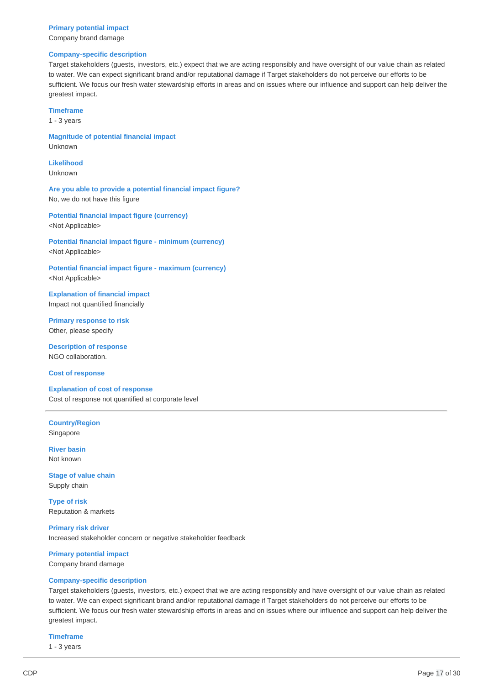### **Primary potential impact**  Company brand damage

#### **Company-specific description**

Target stakeholders (guests, investors, etc.) expect that we are acting responsibly and have oversight of our value chain as related to water. We can expect significant brand and/or reputational damage if Target stakeholders do not perceive our efforts to be sufficient. We focus our fresh water stewardship efforts in areas and on issues where our influence and support can help deliver the greatest impact.

#### **Timeframe**

1 - 3 years

**Magnitude of potential financial impact**  Unknown

**Likelihood**  Unknown

**Are you able to provide a potential financial impact figure?**  No, we do not have this figure

**Potential financial impact figure (currency)** 

<Not Applicable>

**Potential financial impact figure - minimum (currency)**  <Not Applicable>

**Potential financial impact figure - maximum (currency)**  <Not Applicable>

**Explanation of financial impact**  Impact not quantified financially

**Primary response to risk**  Other, please specify

**Description of response**  NGO collaboration.

**Cost of response** 

**Explanation of cost of response**  Cost of response not quantified at corporate level

**Country/Region**  Singapore

**River basin**  Not known

**Stage of value chain**  Supply chain

**Type of risk**  Reputation & markets

**Primary risk driver**  Increased stakeholder concern or negative stakeholder feedback

**Primary potential impact**  Company brand damage

#### **Company-specific description**

Target stakeholders (guests, investors, etc.) expect that we are acting responsibly and have oversight of our value chain as related to water. We can expect significant brand and/or reputational damage if Target stakeholders do not perceive our efforts to be sufficient. We focus our fresh water stewardship efforts in areas and on issues where our influence and support can help deliver the greatest impact.

#### **Timeframe**

1 - 3 years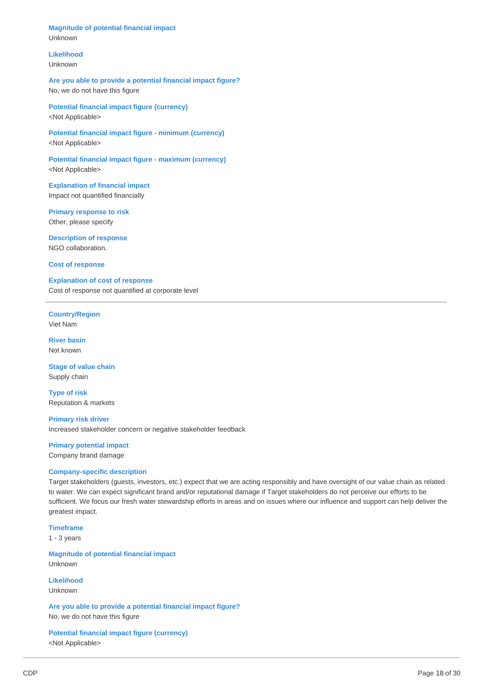**Magnitude of potential financial impact**  Unknown

## **Likelihood**

Unknown

**Are you able to provide a potential financial impact figure?**  No, we do not have this figure

**Potential financial impact figure (currency)**  <Not Applicable>

**Potential financial impact figure - minimum (currency)**  <Not Applicable>

**Potential financial impact figure - maximum (currency)**  <Not Applicable>

**Explanation of financial impact**  Impact not quantified financially

**Primary response to risk**  Other, please specify

**Description of response**  NGO collaboration.

**Cost of response** 

**Explanation of cost of response**  Cost of response not quantified at corporate level

**Country/Region**  Viet Nam

**River basin**  Not known

**Stage of value chain**  Supply chain

**Type of risk**  Reputation & markets

**Primary risk driver**  Increased stakeholder concern or negative stakeholder feedback

**Primary potential impact** 

Company brand damage

### **Company-specific description**

Target stakeholders (guests, investors, etc.) expect that we are acting responsibly and have oversight of our value chain as related to water. We can expect significant brand and/or reputational damage if Target stakeholders do not perceive our efforts to be sufficient. We focus our fresh water stewardship efforts in areas and on issues where our influence and support can help deliver the greatest impact.

**Timeframe**  1 - 3 years

**Magnitude of potential financial impact**  Unknown

**Likelihood**  Unknown

**Are you able to provide a potential financial impact figure?**  No, we do not have this figure

**Potential financial impact figure (currency)**  <Not Applicable>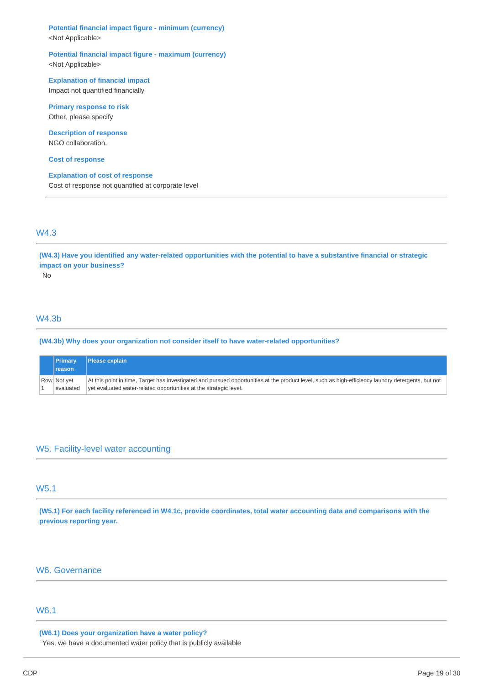**Potential financial impact figure - minimum (currency)**  <Not Applicable>

**Potential financial impact figure - maximum (currency)**  <Not Applicable>

**Explanation of financial impact**  Impact not quantified financially

**Primary response to risk**  Other, please specify

**Description of response**  NGO collaboration.

**Cost of response** 

**Explanation of cost of response**  Cost of response not quantified at corporate level

## W4.3

**(W4.3) Have you identified any water-related opportunities with the potential to have a substantive financial or strategic impact on your business?** 

No

# W4.3b

**(W4.3b) Why does your organization not consider itself to have water-related opportunities?** 

| <b>Primary</b>           | <b>Please explain</b>                                                                                                                                                                                                   |
|--------------------------|-------------------------------------------------------------------------------------------------------------------------------------------------------------------------------------------------------------------------|
| reason                   |                                                                                                                                                                                                                         |
| Row Not vet<br>evaluated | At this point in time, Target has investigated and pursued opportunities at the product level, such as high-efficiency laundry detergents, but not<br>vet evaluated water-related opportunities at the strategic level. |

# W5. Facility-level water accounting

# W5.1

**(W5.1) For each facility referenced in W4.1c, provide coordinates, total water accounting data and comparisons with the previous reporting year.** 

# W6. Governance

# W6.1

**(W6.1) Does your organization have a water policy?** 

Yes, we have a documented water policy that is publicly available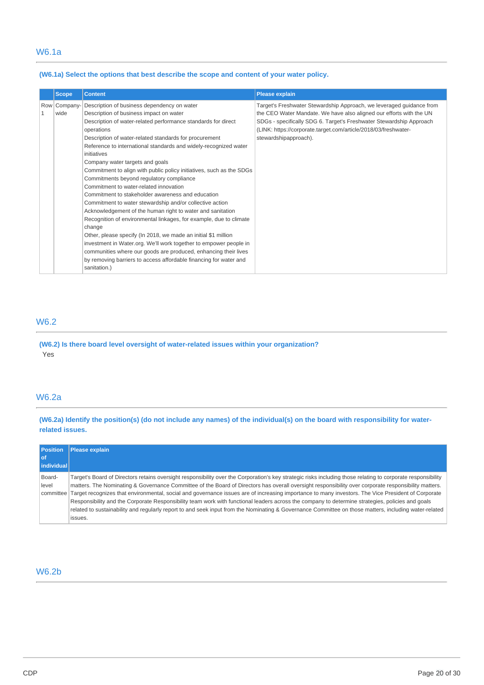### **(W6.1a) Select the options that best describe the scope and content of your water policy.**

|              | <b>Scope</b> | <b>Content</b>                                                                                                                                                                                                                                                                                                                                                                                                                                                                                                                                                                                                                                                                                                                                                                                                                                                                                                                                                                                                                                                                                 | <b>Please explain</b>                                                                                                                                                                                                                                                                                          |
|--------------|--------------|------------------------------------------------------------------------------------------------------------------------------------------------------------------------------------------------------------------------------------------------------------------------------------------------------------------------------------------------------------------------------------------------------------------------------------------------------------------------------------------------------------------------------------------------------------------------------------------------------------------------------------------------------------------------------------------------------------------------------------------------------------------------------------------------------------------------------------------------------------------------------------------------------------------------------------------------------------------------------------------------------------------------------------------------------------------------------------------------|----------------------------------------------------------------------------------------------------------------------------------------------------------------------------------------------------------------------------------------------------------------------------------------------------------------|
| $\mathbf{1}$ | wide         | Row Company- Description of business dependency on water<br>Description of business impact on water<br>Description of water-related performance standards for direct<br>operations<br>Description of water-related standards for procurement<br>Reference to international standards and widely-recognized water<br>initiatives<br>Company water targets and goals<br>Commitment to align with public policy initiatives, such as the SDGs<br>Commitments beyond regulatory compliance<br>Commitment to water-related innovation<br>Commitment to stakeholder awareness and education<br>Commitment to water stewardship and/or collective action<br>Acknowledgement of the human right to water and sanitation<br>Recognition of environmental linkages, for example, due to climate<br>change<br>Other, please specify (In 2018, we made an initial \$1 million<br>investment in Water.org. We'll work together to empower people in<br>communities where our goods are produced, enhancing their lives<br>by removing barriers to access affordable financing for water and<br>sanitation.) | Target's Freshwater Stewardship Approach, we leveraged guidance from<br>the CEO Water Mandate. We have also aligned our efforts with the UN<br>SDGs - specifically SDG 6. Target's Freshwater Stewardship Approach<br>(LINK: https://corporate.target.com/article/2018/03/freshwater-<br>stewardshipapproach). |

# W6.2

**(W6.2) Is there board level oversight of water-related issues within your organization?**  Yes

# W6.2a

**(W6.2a) Identify the position(s) (do not include any names) of the individual(s) on the board with responsibility for waterrelated issues.** 

| <b>Position</b><br>l of<br>l individual l | <b>Please explain</b>                                                                                                                                                                                                                                                                                                                                                                                                                                                                                                                                                                                                                                                                                                                                                                              |
|-------------------------------------------|----------------------------------------------------------------------------------------------------------------------------------------------------------------------------------------------------------------------------------------------------------------------------------------------------------------------------------------------------------------------------------------------------------------------------------------------------------------------------------------------------------------------------------------------------------------------------------------------------------------------------------------------------------------------------------------------------------------------------------------------------------------------------------------------------|
| Board-<br>level<br>committee l            | Target's Board of Directors retains oversight responsibility over the Corporation's key strategic risks including those relating to corporate responsibility<br>matters. The Nominating & Governance Committee of the Board of Directors has overall oversight responsibility over corporate responsibility matters.<br>Target recognizes that environmental, social and governance issues are of increasing importance to many investors. The Vice President of Corporate<br>Responsibility and the Corporate Responsibility team work with functional leaders across the company to determine strategies, policies and goals<br>related to sustainability and regularly report to and seek input from the Nominating & Governance Committee on those matters, including water-related<br>issues. |

# W6.2b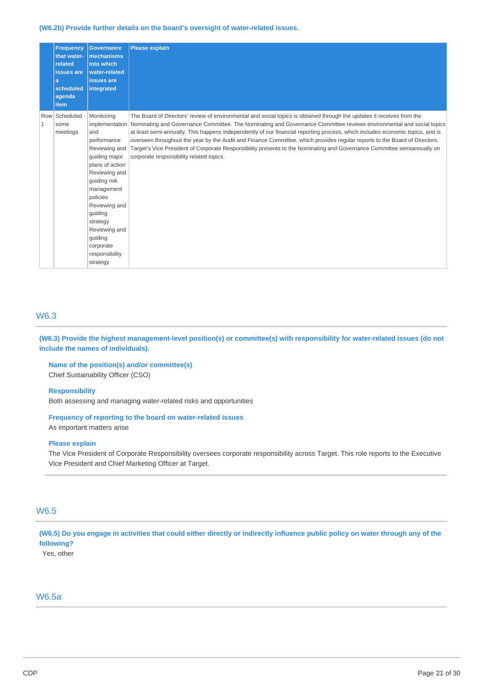**(W6.2b) Provide further details on the board's oversight of water-related issues.** 

| a<br><i>item</i> | <b>Frequency</b><br>that water-<br>related<br>issues are<br>scheduled<br>agenda | <b>Governance</b><br>mechanisms<br>into which<br>water-related<br>issues are<br>integrated                                                                                                                                                                                        | <b>Please explain</b>                                                                                                                                                                                                                                                                                                                                                                                                                                                                                                                                                                                                                                                                |
|------------------|---------------------------------------------------------------------------------|-----------------------------------------------------------------------------------------------------------------------------------------------------------------------------------------------------------------------------------------------------------------------------------|--------------------------------------------------------------------------------------------------------------------------------------------------------------------------------------------------------------------------------------------------------------------------------------------------------------------------------------------------------------------------------------------------------------------------------------------------------------------------------------------------------------------------------------------------------------------------------------------------------------------------------------------------------------------------------------|
| 1<br>some        | Row Scheduled -<br>meetings                                                     | Monitoring<br>implementation<br>and<br>performance<br>Reviewing and<br>guiding major<br>plans of action<br>Reviewing and<br>guiding risk<br>management<br>policies<br>Reviewing and<br>guiding<br>strategy<br>Reviewing and<br>guiding<br>corporate<br>responsibility<br>strategy | The Board of Directors' review of environmental and social topics is obtained through the updates it receives from the<br>Nominating and Governance Committee. The Nominating and Governance Committee reviews environmental and social topics<br>at least semi-annually. This happens independently of our financial reporting process, which includes economic topics, and is<br>overseen throughout the year by the Audit and Finance Committee, which provides regular reports to the Board of Directors.<br>Target's Vice President of Corporate Responsibility presents to the Nominating and Governance Committee semiannually on<br>corporate responsibility related topics. |

# W6.3

**(W6.3) Provide the highest management-level position(s) or committee(s) with responsibility for water-related issues (do not include the names of individuals).** 

# **Name of the position(s) and/or committee(s)**

Chief Sustainability Officer (CSO)

### **Responsibility**

Both assessing and managing water-related risks and opportunities

### **Frequency of reporting to the board on water-related issues**

As important matters arise

### **Please explain**

The Vice President of Corporate Responsibility oversees corporate responsibility across Target. This role reports to the Executive Vice President and Chief Marketing Officer at Target.

# W6.5

**(W6.5) Do you engage in activities that could either directly or indirectly influence public policy on water through any of the following?** 

Yes, other

## W6.5a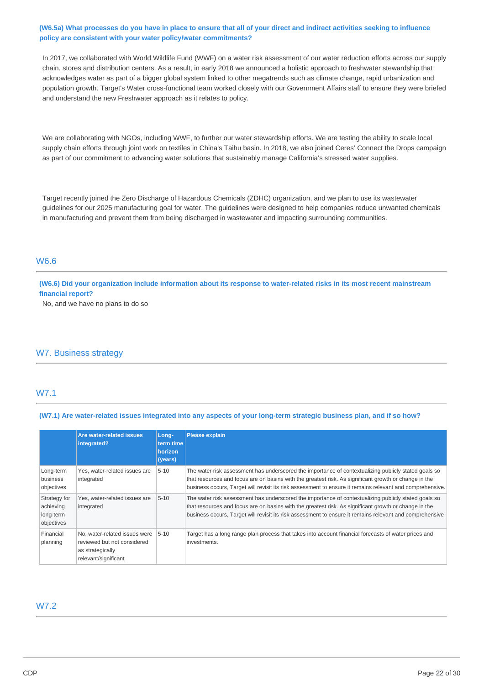### **(W6.5a) What processes do you have in place to ensure that all of your direct and indirect activities seeking to influence policy are consistent with your water policy/water commitments?**

In 2017, we collaborated with World Wildlife Fund (WWF) on a water risk assessment of our water reduction efforts across our supply chain, stores and distribution centers. As a result, in early 2018 we announced a holistic approach to freshwater stewardship that acknowledges water as part of a bigger global system linked to other megatrends such as climate change, rapid urbanization and population growth. Target's Water cross-functional team worked closely with our Government Affairs staff to ensure they were briefed and understand the new Freshwater approach as it relates to policy.

We are collaborating with NGOs, including WWF, to further our water stewardship efforts. We are testing the ability to scale local supply chain efforts through joint work on textiles in China's Taihu basin. In 2018, we also joined Ceres' Connect the Drops campaign as part of our commitment to advancing water solutions that sustainably manage California's stressed water supplies.

Target recently joined the Zero Discharge of Hazardous Chemicals (ZDHC) organization, and we plan to use its wastewater guidelines for our 2025 manufacturing goal for water. The guidelines were designed to help companies reduce unwanted chemicals in manufacturing and prevent them from being discharged in wastewater and impacting surrounding communities.

### W6.6

**(W6.6) Did your organization include information about its response to water-related risks in its most recent mainstream financial report?** 

No, and we have no plans to do so

# W7. Business strategy

### W7.1

**(W7.1) Are water-related issues integrated into any aspects of your long-term strategic business plan, and if so how?** 

|                                                      | Are water-related issues<br>integrated?                                                                  | Long-<br>term time<br>horizon<br>(years) | <b>Please explain</b>                                                                                                                                                                                                                                                                                                      |
|------------------------------------------------------|----------------------------------------------------------------------------------------------------------|------------------------------------------|----------------------------------------------------------------------------------------------------------------------------------------------------------------------------------------------------------------------------------------------------------------------------------------------------------------------------|
| Long-term<br>business<br>objectives                  | Yes, water-related issues are<br>integrated                                                              | $5 - 10$                                 | The water risk assessment has underscored the importance of contextualizing publicly stated goals so<br>that resources and focus are on basins with the greatest risk. As significant growth or change in the<br>business occurs, Target will revisit its risk assessment to ensure it remains relevant and comprehensive. |
| Strategy for<br>achieving<br>long-term<br>objectives | Yes, water-related issues are<br>integrated                                                              | $5 - 10$                                 | The water risk assessment has underscored the importance of contextualizing publicly stated goals so<br>that resources and focus are on basins with the greatest risk. As significant growth or change in the<br>business occurs, Target will revisit its risk assessment to ensure it remains relevant and comprehensive  |
| Financial<br>planning                                | No, water-related issues were<br>reviewed but not considered<br>as strategically<br>relevant/significant | $5 - 10$                                 | Target has a long range plan process that takes into account financial forecasts of water prices and<br>investments.                                                                                                                                                                                                       |

### W7.2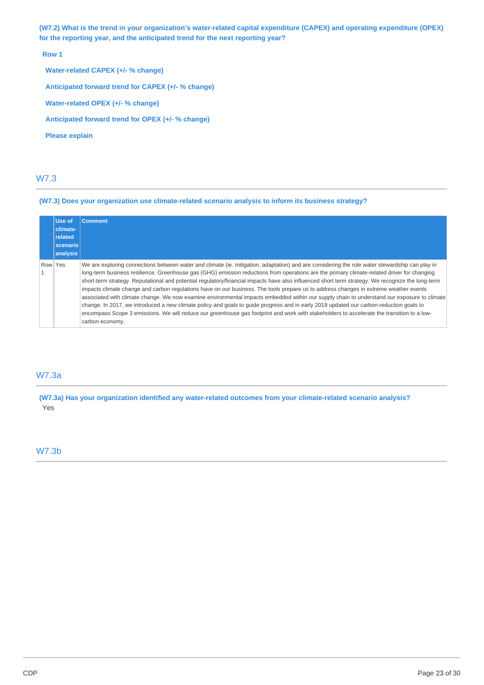**(W7.2) What is the trend in your organization's water-related capital expenditure (CAPEX) and operating expenditure (OPEX) for the reporting year, and the anticipated trend for the next reporting year?** 

**Row 1** 

**Water-related CAPEX (+/- % change) Anticipated forward trend for CAPEX (+/- % change) Water-related OPEX (+/- % change) Anticipated forward trend for OPEX (+/- % change) Please explain** 

# W7.3

### **(W7.3) Does your organization use climate-related scenario analysis to inform its business strategy?**

|         | Use of<br>climate-   | Comment                                                                                                                                                                                                                                                                                                                                                                                                                                                                                                                                                                                                                                                                                                                                                                                                                                                                                                                                                                                                                                                |
|---------|----------------------|--------------------------------------------------------------------------------------------------------------------------------------------------------------------------------------------------------------------------------------------------------------------------------------------------------------------------------------------------------------------------------------------------------------------------------------------------------------------------------------------------------------------------------------------------------------------------------------------------------------------------------------------------------------------------------------------------------------------------------------------------------------------------------------------------------------------------------------------------------------------------------------------------------------------------------------------------------------------------------------------------------------------------------------------------------|
|         | related              |                                                                                                                                                                                                                                                                                                                                                                                                                                                                                                                                                                                                                                                                                                                                                                                                                                                                                                                                                                                                                                                        |
|         | scenario<br>analysis |                                                                                                                                                                                                                                                                                                                                                                                                                                                                                                                                                                                                                                                                                                                                                                                                                                                                                                                                                                                                                                                        |
| Row Yes |                      | We are exploring connections between water and climate (ie, mitigation, adaptation) and are considering the role water stewardship can play in<br>long-term business resilience. Greenhouse gas (GHG) emission reductions from operations are the primary climate-related driver for changing<br>short-term strategy. Reputational and potential regulatory/financial impacts have also influenced short term strategy. We recognize the long-term<br>impacts climate change and carbon regulations have on our business. The tools prepare us to address changes in extreme weather events<br>associated with climate change. We now examine environmental impacts embedded within our supply chain to understand our exposure to climate<br>change. In 2017, we introduced a new climate policy and goals to guide progress and in early 2019 updated our carbon-reduction goals to<br>encompass Scope 3 emissions. We will reduce our greenhouse gas footprint and work with stakeholders to accelerate the transition to a low-<br>carbon economy. |

# W7.3a

**(W7.3a) Has your organization identified any water-related outcomes from your climate-related scenario analysis?**  Yes

# W7.3b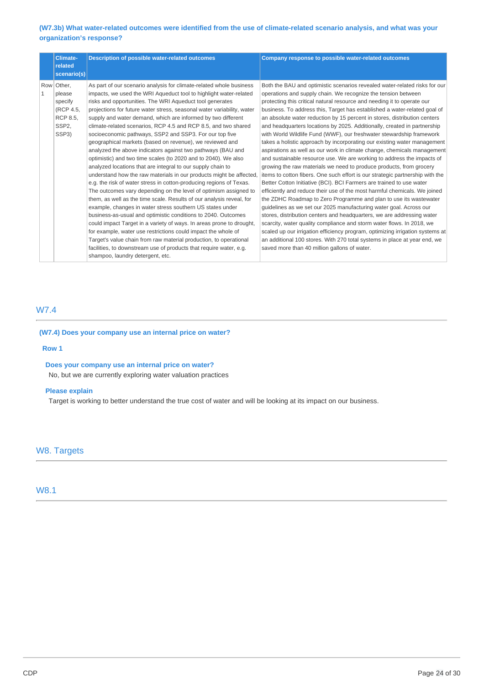### **(W7.3b) What water-related outcomes were identified from the use of climate-related scenario analysis, and what was your organization's response?**

| <b>Climate-</b><br>related<br>scenario(s)                                                           | Description of possible water-related outcomes                                                                                                                                                                                                                                                                                                                                                                                                                                                                                                                                                                                                                                                                                                                                                                                                                                                                                                                                                                                                                                                                                                                                                                                                                                                                                                                                                                                                                                          | <b>Company response to possible water-related outcomes</b>                                                                                                                                                                                                                                                                                                                                                                                                                                                                                                                                                                                                                                                                                                                                                                                                                                                                                                                                                                                                                                                                                                                                                                                                                                                                                                                                                                                                                                                                                                                                     |
|-----------------------------------------------------------------------------------------------------|-----------------------------------------------------------------------------------------------------------------------------------------------------------------------------------------------------------------------------------------------------------------------------------------------------------------------------------------------------------------------------------------------------------------------------------------------------------------------------------------------------------------------------------------------------------------------------------------------------------------------------------------------------------------------------------------------------------------------------------------------------------------------------------------------------------------------------------------------------------------------------------------------------------------------------------------------------------------------------------------------------------------------------------------------------------------------------------------------------------------------------------------------------------------------------------------------------------------------------------------------------------------------------------------------------------------------------------------------------------------------------------------------------------------------------------------------------------------------------------------|------------------------------------------------------------------------------------------------------------------------------------------------------------------------------------------------------------------------------------------------------------------------------------------------------------------------------------------------------------------------------------------------------------------------------------------------------------------------------------------------------------------------------------------------------------------------------------------------------------------------------------------------------------------------------------------------------------------------------------------------------------------------------------------------------------------------------------------------------------------------------------------------------------------------------------------------------------------------------------------------------------------------------------------------------------------------------------------------------------------------------------------------------------------------------------------------------------------------------------------------------------------------------------------------------------------------------------------------------------------------------------------------------------------------------------------------------------------------------------------------------------------------------------------------------------------------------------------------|
| Row Other,<br>1<br>please<br>specify<br>(RCP 4.5,<br><b>RCP 8.5.</b><br>SSP <sub>2</sub> .<br>SSP3) | As part of our scenario analysis for climate-related whole business<br>impacts, we used the WRI Aqueduct tool to highlight water-related<br>risks and opportunities. The WRI Aqueduct tool generates<br>projections for future water stress, seasonal water variability, water<br>supply and water demand, which are informed by two different<br>climate-related scenarios, RCP 4.5 and RCP 8.5, and two shared<br>socioeconomic pathways, SSP2 and SSP3. For our top five<br>geographical markets (based on revenue), we reviewed and<br>analyzed the above indicators against two pathways (BAU and<br>optimistic) and two time scales (to 2020 and to 2040). We also<br>analyzed locations that are integral to our supply chain to<br>understand how the raw materials in our products might be affected.<br>e.g. the risk of water stress in cotton-producing regions of Texas.<br>The outcomes vary depending on the level of optimism assigned to<br>them, as well as the time scale. Results of our analysis reveal, for<br>example, changes in water stress southern US states under<br>business-as-usual and optimistic conditions to 2040. Outcomes<br>could impact Target in a variety of ways. In areas prone to drought,<br>for example, water use restrictions could impact the whole of<br>Target's value chain from raw material production, to operational<br>facilities, to downstream use of products that require water, e.g.<br>shampoo, laundry detergent, etc. | Both the BAU and optimistic scenarios revealed water-related risks for our<br>operations and supply chain. We recognize the tension between<br>protecting this critical natural resource and needing it to operate our<br>business. To address this, Target has established a water-related goal of<br>an absolute water reduction by 15 percent in stores, distribution centers<br>and headquarters locations by 2025. Additionally, created in partnership<br>with World Wildlife Fund (WWF), our freshwater stewardship framework<br>takes a holistic approach by incorporating our existing water management<br>aspirations as well as our work in climate change, chemicals management<br>and sustainable resource use. We are working to address the impacts of<br>growing the raw materials we need to produce products, from grocery<br>items to cotton fibers. One such effort is our strategic partnership with the<br>Better Cotton Initiative (BCI). BCI Farmers are trained to use water<br>efficiently and reduce their use of the most harmful chemicals. We joined<br>the ZDHC Roadmap to Zero Programme and plan to use its wastewater<br>guidelines as we set our 2025 manufacturing water goal. Across our<br>stores, distribution centers and headquarters, we are addressing water<br>scarcity, water quality compliance and storm water flows. In 2018, we<br>scaled up our irrigation efficiency program, optimizing irrigation systems at<br>an additional 100 stores. With 270 total systems in place at year end, we<br>saved more than 40 million gallons of water. |

# W7.4

**(W7.4) Does your company use an internal price on water?** 

#### **Row 1**

### **Does your company use an internal price on water?**

No, but we are currently exploring water valuation practices

#### **Please explain**

Target is working to better understand the true cost of water and will be looking at its impact on our business.

# W8. Targets

W8.1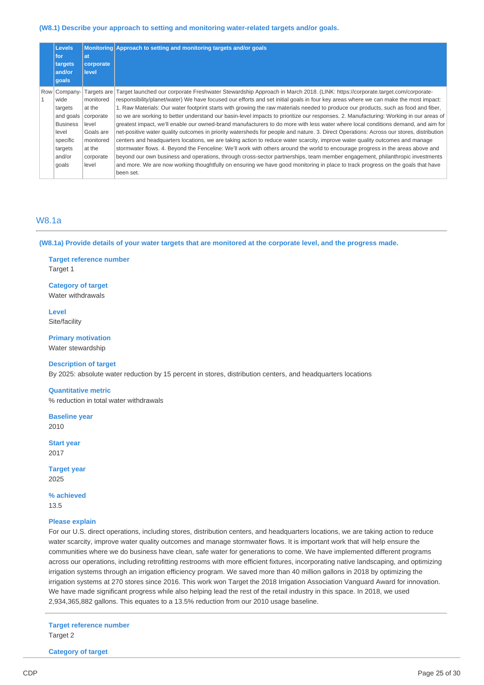#### **(W8.1) Describe your approach to setting and monitoring water-related targets and/or goals.**

| <b>Levels</b><br>for<br>targets<br>and/or<br>goals | at<br>corporate<br><b>level</b> | Monitoring Approach to setting and monitoring targets and/or goals                                                                      |
|----------------------------------------------------|---------------------------------|-----------------------------------------------------------------------------------------------------------------------------------------|
| Row Company-                                       | Targets are                     | Target launched our corporate Freshwater Stewardship Approach in March 2018. (LINK: https://corporate.target.com/corporate-             |
| wide                                               | monitored                       | responsibility/planet/water) We have focused our efforts and set initial goals in four key areas where we can make the most impact:     |
| targets                                            | at the                          | 1. Raw Materials: Our water footprint starts with growing the raw materials needed to produce our products, such as food and fiber,     |
| and goals                                          | corporate                       | so we are working to better understand our basin-level impacts to prioritize our responses. 2. Manufacturing: Working in our areas of   |
| <b>Business</b>                                    | level                           | greatest impact, we'll enable our owned-brand manufacturers to do more with less water where local conditions demand, and aim for       |
| level                                              | Goals are                       | net-positive water quality outcomes in priority watersheds for people and nature. 3. Direct Operations: Across our stores, distribution |
| specific                                           | monitored                       | centers and headquarters locations, we are taking action to reduce water scarcity, improve water quality outcomes and manage            |
| targets                                            | at the                          | stormwater flows. 4. Beyond the Fenceline: We'll work with others around the world to encourage progress in the areas above and         |
| and/or                                             | corporate                       | beyond our own business and operations, through cross-sector partnerships, team member engagement, philanthropic investments            |
| goals                                              | level                           | and more. We are now working thoughtfully on ensuring we have good monitoring in place to track progress on the goals that have         |
|                                                    |                                 | been set.                                                                                                                               |

### W8.1a

**(W8.1a) Provide details of your water targets that are monitored at the corporate level, and the progress made.** 

**Target reference number**  Target 1

**Category of target**  Water withdrawals

**Level**  Site/facility

**Primary motivation** 

Water stewardship

### **Description of target**

By 2025: absolute water reduction by 15 percent in stores, distribution centers, and headquarters locations

#### **Quantitative metric**

% reduction in total water withdrawals

**Baseline year**  2010

**Start year**  2017

**Target year**  2025

**% achieved**  13.5

#### **Please explain**

For our U.S. direct operations, including stores, distribution centers, and headquarters locations, we are taking action to reduce water scarcity, improve water quality outcomes and manage stormwater flows. It is important work that will help ensure the communities where we do business have clean, safe water for generations to come. We have implemented different programs across our operations, including retrofitting restrooms with more efficient fixtures, incorporating native landscaping, and optimizing irrigation systems through an irrigation efficiency program. We saved more than 40 million gallons in 2018 by optimizing the irrigation systems at 270 stores since 2016. This work won Target the 2018 Irrigation Association Vanguard Award for innovation. We have made significant progress while also helping lead the rest of the retail industry in this space. In 2018, we used 2,934,365,882 gallons. This equates to a 13.5% reduction from our 2010 usage baseline.

**Target reference number**  Target 2

**Category of target**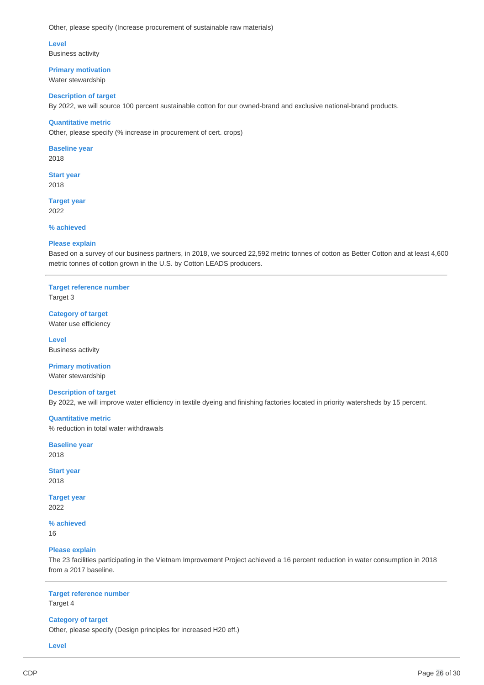Other, please specify (Increase procurement of sustainable raw materials)

**Level**  Business activity

**Primary motivation**  Water stewardship

#### **Description of target**

By 2022, we will source 100 percent sustainable cotton for our owned-brand and exclusive national-brand products.

#### **Quantitative metric**

Other, please specify (% increase in procurement of cert. crops)

**Baseline year**  2018

**Start year**  2018

**Target year**  2022

**% achieved** 

### **Please explain**

Based on a survey of our business partners, in 2018, we sourced 22,592 metric tonnes of cotton as Better Cotton and at least 4,600 metric tonnes of cotton grown in the U.S. by Cotton LEADS producers.

### **Target reference number**

Target 3

**Category of target**  Water use efficiency

**Level**  Business activity

**Primary motivation**  Water stewardship

# **Description of target**

By 2022, we will improve water efficiency in textile dyeing and finishing factories located in priority watersheds by 15 percent.

**Quantitative metric**  % reduction in total water withdrawals

**Baseline year**  2018

**Start year**  2018

**Target year**  2022

**% achieved**  16

### **Please explain**

The 23 facilities participating in the Vietnam Improvement Project achieved a 16 percent reduction in water consumption in 2018 from a 2017 baseline.

### **Target reference number**

Target 4

### **Category of target**

Other, please specify (Design principles for increased H20 eff.)

**Level**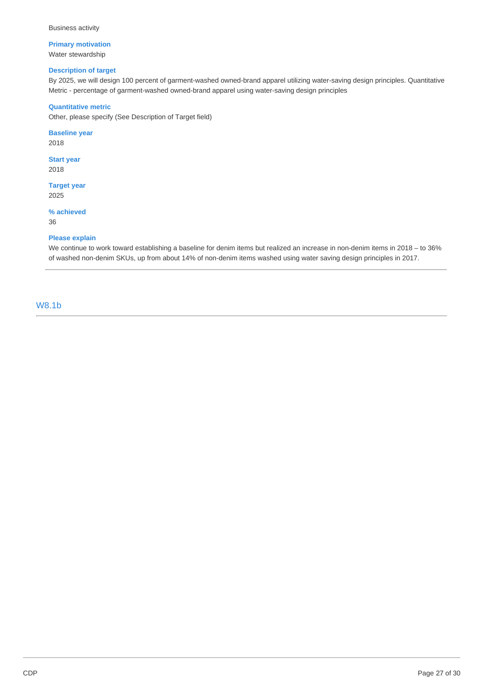Business activity

### **Primary motivation**  Water stewardship

### **Description of target**

By 2025, we will design 100 percent of garment-washed owned-brand apparel utilizing water-saving design principles. Quantitative Metric - percentage of garment-washed owned-brand apparel using water-saving design principles

### **Quantitative metric**

Other, please specify (See Description of Target field)

### **Baseline year**

2018

**Start year**  2018

**Target year**  2025

### **% achieved**

36

### **Please explain**

We continue to work toward establishing a baseline for denim items but realized an increase in non-denim items in 2018 – to 36% of washed non-denim SKUs, up from about 14% of non-denim items washed using water saving design principles in 2017.

W8.1b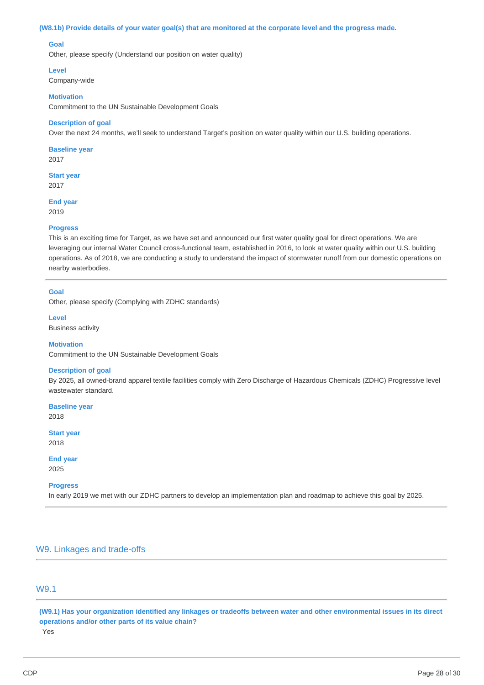#### **(W8.1b) Provide details of your water goal(s) that are monitored at the corporate level and the progress made.**

### **Goal**

Other, please specify (Understand our position on water quality)

#### **Level**

Company-wide

#### **Motivation**

Commitment to the UN Sustainable Development Goals

#### **Description of goal**

Over the next 24 months, we'll seek to understand Target's position on water quality within our U.S. building operations.

**Baseline year**  2017

**Start year**  2017

**End year**  2019

#### **Progress**

This is an exciting time for Target, as we have set and announced our first water quality goal for direct operations. We are leveraging our internal Water Council cross-functional team, established in 2016, to look at water quality within our U.S. building operations. As of 2018, we are conducting a study to understand the impact of stormwater runoff from our domestic operations on nearby waterbodies.

#### **Goal**

Other, please specify (Complying with ZDHC standards)

**Level**  Business activity

#### **Motivation**

Commitment to the UN Sustainable Development Goals

#### **Description of goal**

By 2025, all owned-brand apparel textile facilities comply with Zero Discharge of Hazardous Chemicals (ZDHC) Progressive level wastewater standard.

**Baseline year**  2018

**Start year**  2018

**End year**  2025

#### **Progress**

In early 2019 we met with our ZDHC partners to develop an implementation plan and roadmap to achieve this goal by 2025.

# W9. Linkages and trade-offs

# W9.1

**(W9.1) Has your organization identified any linkages or tradeoffs between water and other environmental issues in its direct operations and/or other parts of its value chain?**  Yes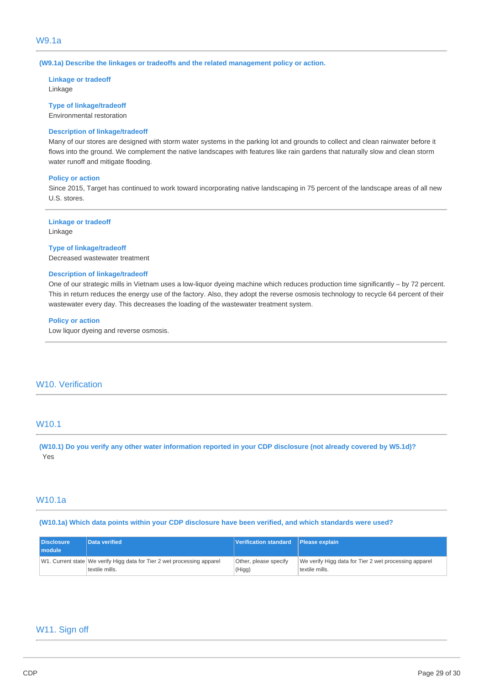**(W9.1a) Describe the linkages or tradeoffs and the related management policy or action.** 

**Linkage or tradeoff**  Linkage

**Type of linkage/tradeoff**  Environmental restoration

#### **Description of linkage/tradeoff**

Many of our stores are designed with storm water systems in the parking lot and grounds to collect and clean rainwater before it flows into the ground. We complement the native landscapes with features like rain gardens that naturally slow and clean storm water runoff and mitigate flooding.

#### **Policy or action**

Since 2015, Target has continued to work toward incorporating native landscaping in 75 percent of the landscape areas of all new U.S. stores.

**Linkage or tradeoff**  Linkage

#### **Type of linkage/tradeoff**

Decreased wastewater treatment

#### **Description of linkage/tradeoff**

One of our strategic mills in Vietnam uses a low-liquor dyeing machine which reduces production time significantly – by 72 percent. This in return reduces the energy use of the factory. Also, they adopt the reverse osmosis technology to recycle 64 percent of their wastewater every day. This decreases the loading of the wastewater treatment system.

#### **Policy or action**

Low liquor dyeing and reverse osmosis.

# W10. Verification

# W10.1

**(W10.1) Do you verify any other water information reported in your CDP disclosure (not already covered by W5.1d)?**  Yes

## W10.1a

#### **(W10.1a) Which data points within your CDP disclosure have been verified, and which standards were used?**

| <b>Disclosure</b><br>I module | Data verified                                                           | Verification standard Please explain |                                                       |
|-------------------------------|-------------------------------------------------------------------------|--------------------------------------|-------------------------------------------------------|
|                               | W1. Current state We verify Higg data for Tier 2 wet processing apparel | Other, please specify                | We verify Higg data for Tier 2 wet processing apparel |
|                               | textile mills.                                                          | (Higg)                               | textile mills.                                        |

### W11. Sign off